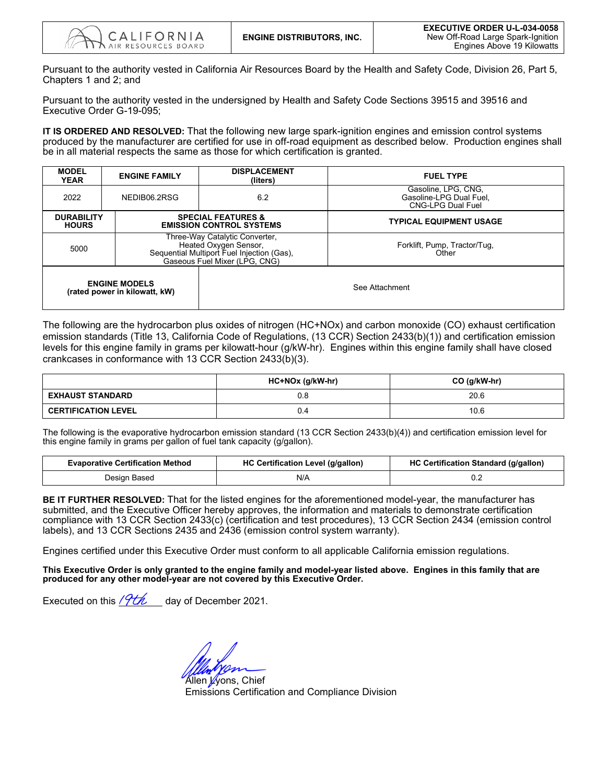Pursuant to the authority vested in California Air Resources Board by the Health and Safety Code, Division 26, Part 5, Chapters 1 and 2; and

Pursuant to the authority vested in the undersigned by Health and Safety Code Sections 39515 and 39516 and Executive Order G-19-095;

 produced by the manufacturer are certified for use in off-road equipment as described below. Production engines shall **IT IS ORDERED AND RESOLVED:** That the following new large spark-ignition engines and emission control systems be in all material respects the same as those for which certification is granted.

| <b>MODEL</b><br><b>YEAR</b>       | <b>ENGINE FAMILY</b>                                  | <b>DISPLACEMENT</b><br>(liters)                                                                                                        | <b>FUEL TYPE</b>                                                           |
|-----------------------------------|-------------------------------------------------------|----------------------------------------------------------------------------------------------------------------------------------------|----------------------------------------------------------------------------|
| 2022                              | NEDIB06.2RSG                                          | 6.2                                                                                                                                    | Gasoline, LPG, CNG,<br>Gasoline-LPG Dual Fuel.<br><b>CNG-LPG Dual Fuel</b> |
| <b>DURABILITY</b><br><b>HOURS</b> |                                                       | <b>SPECIAL FEATURES &amp;</b><br><b>EMISSION CONTROL SYSTEMS</b>                                                                       | <b>TYPICAL EQUIPMENT USAGE</b>                                             |
| 5000                              |                                                       | Three-Way Catalytic Converter,<br>Heated Oxygen Sensor,<br>Sequential Multiport Fuel Injection (Gas),<br>Gaseous Fuel Mixer (LPG, CNG) | Forklift, Pump, Tractor/Tug,<br>Other                                      |
|                                   | <b>ENGINE MODELS</b><br>(rated power in kilowatt, kW) |                                                                                                                                        | See Attachment                                                             |

The following are the hydrocarbon plus oxides of nitrogen (HC+NOx) and carbon monoxide (CO) exhaust certification emission standards (Title 13, California Code of Regulations, (13 CCR) Section 2433(b)(1)) and certification emission levels for this engine family in grams per kilowatt-hour (g/kW-hr). Engines within this engine family shall have closed crankcases in conformance with 13 CCR Section 2433(b)(3).

|                            | HC+NOx (g/kW-hr) | $CO$ (g/kW-hr) |
|----------------------------|------------------|----------------|
| <b>EXHAUST STANDARD</b>    | 0.8              | 20.6           |
| <b>CERTIFICATION LEVEL</b> | 0.4              | 10.6           |

The following is the evaporative hydrocarbon emission standard (13 CCR Section 2433(b)(4)) and certification emission level for this engine family in grams per gallon of fuel tank capacity (g/gallon).

| <b>Evaporative Certification Method</b> | HC Certification Level (g/gallon) | <b>HC Certification Standard (g/gallon)</b> |  |  |  |
|-----------------------------------------|-----------------------------------|---------------------------------------------|--|--|--|
| Design Based                            | N/A                               | v.z                                         |  |  |  |

**BE IT FURTHER RESOLVED:** That for the listed engines for the aforementioned model-year, the manufacturer has submitted, and the Executive Officer hereby approves, the information and materials to demonstrate certification compliance with 13 CCR Section 2433(c) (certification and test procedures), 13 CCR Section 2434 (emission control labels), and 13 CCR Sections 2435 and 2436 (emission control system warranty).

Engines certified under this Executive Order must conform to all applicable California emission regulations.

 **This Executive Order is only granted to the engine family and model-year listed above. Engines in this family that are produced for any other model-year are not covered by this Executive Order.** 

Executed on this *lYUL\_\_\_* day of December 2021.

Allen *L*yons, Chief Emissions Certification and Compliance Division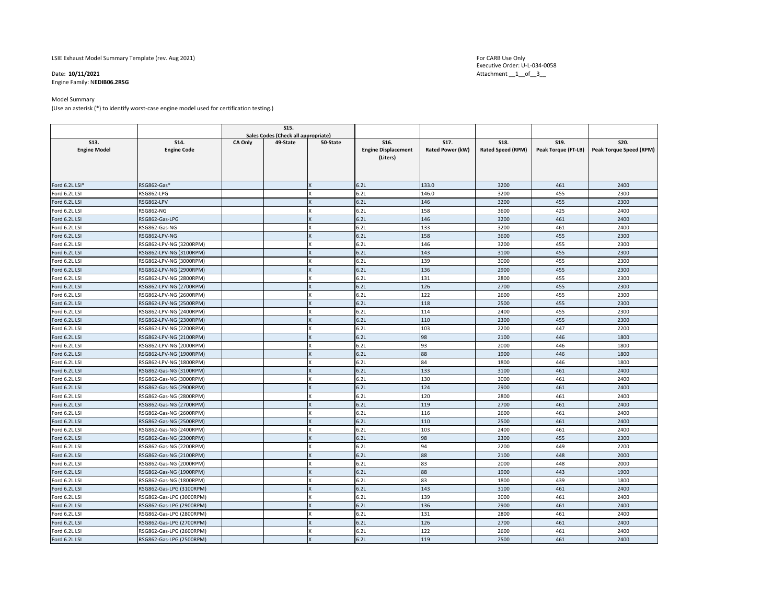LSIE Exhaust Model Summary Template (rev. Aug 2021)

# Date: 10/11/2021

Engine Family: N**EDIB06.2RSG** 

#### Model Summary

(Use an asterisk (\*) to identify worst-case engine model used for certification testing.)

|                     |                          |                                     | <b>S15.</b> |          |                            |                  |                          |                     |                         |
|---------------------|--------------------------|-------------------------------------|-------------|----------|----------------------------|------------------|--------------------------|---------------------|-------------------------|
|                     |                          | Sales Codes (Check all appropriate) |             |          |                            |                  |                          |                     |                         |
| S13.                | S14.                     | CA Only                             | 49-State    | 50-State | S16.                       | S17.             | <b>S18.</b>              | S19.                | S20.                    |
| <b>Engine Model</b> | <b>Engine Code</b>       |                                     |             |          | <b>Engine Displacement</b> | Rated Power (kW) | <b>Rated Speed (RPM)</b> | Peak Torque (FT-LB) | Peak Torque Speed (RPM) |
|                     |                          |                                     |             |          | (Liters)                   |                  |                          |                     |                         |
|                     |                          |                                     |             |          |                            |                  |                          |                     |                         |
|                     |                          |                                     |             |          |                            |                  |                          |                     |                         |
| Ford 6.2L LSI*      | RSG862-Gas*              |                                     |             |          | 6.2L                       | 133.0            | 3200                     | 461                 | 2400                    |
| Ford 6.2L LSI       | RSG862-LPG               |                                     |             | x        | 6.2L                       | 146.0            | 3200                     | 455                 | 2300                    |
| Ford 6.2L LSI       | RSG862-LPV               |                                     |             | x        | 6.2L                       | 146              | 3200                     | 455                 | 2300                    |
| Ford 6.2L LSI       | <b>RSG862-NG</b>         |                                     |             | x        | 6.2L                       | 158              | 3600                     | 425                 | 2400                    |
| Ford 6.2L LSI       | RSG862-Gas-LPG           |                                     |             | x        | 6.2L                       | 146              | 3200                     | 461                 | 2400                    |
| Ford 6.2L LSI       | RSG862-Gas-NG            |                                     |             |          | 6.2L                       | 133              | 3200                     | 461                 | 2400                    |
| Ford 6.2L LSI       | RSG862-LPV-NG            |                                     |             | x        | 6.2L                       | 158              | 3600                     | 455                 | 2300                    |
| Ford 6.2L LSI       | RSG862-LPV-NG (3200RPM)  |                                     |             | x        | 6.2L                       | 146              | 3200                     | 455                 | 2300                    |
| Ford 6.2L LSI       | RSG862-LPV-NG (3100RPM)  |                                     |             | x        | 6.2L                       | 143              | 3100                     | 455                 | 2300                    |
| Ford 6.2L LSI       | RSG862-LPV-NG (3000RPM)  |                                     |             | x        | 6.2L                       | 139              | 3000                     | 455                 | 2300                    |
| Ford 6.2L LSI       | RSG862-LPV-NG (2900RPM)  |                                     |             | x        | 6.2L                       | 136              | 2900                     | 455                 | 2300                    |
| Ford 6.2L LSI       | RSG862-LPV-NG (2800RPM)  |                                     |             | x        | 6.2L                       | 131              | 2800                     | 455                 | 2300                    |
| Ford 6.2L LSI       | RSG862-LPV-NG (2700RPM)  |                                     |             | x        | 6.2L                       | 126              | 2700                     | 455                 | 2300                    |
| Ford 6.2L LSI       | RSG862-LPV-NG (2600RPM)  |                                     |             | x        | 6.2L                       | 122              | 2600                     | 455                 | 2300                    |
| Ford 6.2L LSI       | RSG862-LPV-NG (2500RPM)  |                                     |             | x        | 6.2L                       | 118              | 2500                     | 455                 | 2300                    |
| Ford 6.2L LSI       | RSG862-LPV-NG (2400RPM)  |                                     |             | x        | 6.2L                       | 114              | 2400                     | 455                 | 2300                    |
| Ford 6.2L LSI       | RSG862-LPV-NG (2300RPM)  |                                     |             | x        | 6.2L                       | 110              | 2300                     | 455                 | 2300                    |
| Ford 6.2L LSI       | RSG862-LPV-NG (2200RPM)  |                                     |             | x        | 6.2L                       | 103              | 2200                     | 447                 | 2200                    |
| Ford 6.2L LSI       | RSG862-LPV-NG (2100RPM)  |                                     |             | x        | 6.2L                       | 98               | 2100                     | 446                 | 1800                    |
| Ford 6.2L LSI       | RSG862-LPV-NG (2000RPM)  |                                     |             | x        | 6.2L                       | 93               | 2000                     | 446                 | 1800                    |
| Ford 6.2L LSI       | RSG862-LPV-NG (1900RPM)  |                                     |             | x        | 6.2L                       | 88               | 1900                     | 446                 | 1800                    |
| Ford 6.2L LSI       | RSG862-LPV-NG (1800RPM)  |                                     |             | x        | 6.2L                       | 84               | 1800                     | 446                 | 1800                    |
| Ford 6.2L LSI       | RSG862-Gas-NG (3100RPM)  |                                     |             | x        | 6.2L                       | 133              | 3100                     | 461                 | 2400                    |
| Ford 6.2L LSI       | RSG862-Gas-NG (3000RPM)  |                                     |             | x        | 6.2L                       | 130              | 3000                     | 461                 | 2400                    |
| Ford 6.2L LSI       | RSG862-Gas-NG (2900RPM)  |                                     |             | X        | 6.2L                       | 124              | 2900                     | 461                 | 2400                    |
| Ford 6.2L LSI       | RSG862-Gas-NG (2800RPM)  |                                     |             | x        | 6.2L                       | 120              | 2800                     | 461                 | 2400                    |
| Ford 6.2L LSI       | RSG862-Gas-NG (2700RPM)  |                                     |             | x        | 6.2L                       | 119              | 2700                     | 461                 | 2400                    |
| Ford 6.2L LSI       | RSG862-Gas-NG (2600RPM)  |                                     |             | X        | 6.2L                       | 116              | 2600                     | 461                 | 2400                    |
| Ford 6.2L LSI       | RSG862-Gas-NG (2500RPM)  |                                     |             | X        | 6.2L                       | 110              | 2500                     | 461                 | 2400                    |
| Ford 6.2L LSI       | RSG862-Gas-NG (2400RPM)  |                                     |             | x        | 6.2L                       | 103              | 2400                     | 461                 | 2400                    |
| Ford 6.2L LSI       | RSG862-Gas-NG (2300RPM)  |                                     |             | X        | 6.2L                       | 98               | 2300                     | 455                 | 2300                    |
| Ford 6.2L LSI       | RSG862-Gas-NG (2200RPM)  |                                     |             | x        | 6.2L                       | 94               | 2200                     | 449                 | 2200                    |
| Ford 6.2L LSI       | RSG862-Gas-NG (2100RPM)  |                                     |             | x        | 6.2L                       | 88               | 2100                     | 448                 | 2000                    |
| Ford 6.2L LSI       | RSG862-Gas-NG (2000RPM)  |                                     |             | x        | 6.2L                       | 83               | 2000                     | 448                 | 2000                    |
| Ford 6.2L LSI       | RSG862-Gas-NG (1900RPM)  |                                     |             | X        | 6.2L                       | 88               | 1900                     | 443                 | 1900                    |
| Ford 6.2L LSI       | RSG862-Gas-NG (1800RPM)  |                                     |             | x        | 6.2L                       | 83               | 1800                     | 439                 | 1800                    |
| Ford 6.2L LSI       | RSG862-Gas-LPG (3100RPM) |                                     |             | X        | 6.2L                       | 143              | 3100                     | 461                 | 2400                    |
| Ford 6.2L LSI       | RSG862-Gas-LPG (3000RPM) |                                     |             | x        | 6.2L                       | 139              | 3000                     | 461                 | 2400                    |
| Ford 6.2L LSI       | RSG862-Gas-LPG (2900RPM) |                                     |             | x        | 6.2L                       | 136              | 2900                     | 461                 | 2400                    |
| Ford 6.2L LSI       | RSG862-Gas-LPG (2800RPM) |                                     |             | X        | 6.2L                       | 131              | 2800                     | 461                 | 2400                    |
| Ford 6.2L LSI       | RSG862-Gas-LPG (2700RPM) |                                     |             | X        | 6.2L                       | 126              | 2700                     | 461                 | 2400                    |
| Ford 6.2L LSI       | RSG862-Gas-LPG (2600RPM) |                                     |             | x        | 6.2L                       | 122              | 2600                     | 461                 | 2400                    |
| Ford 6.2L LSI       | RSG862-Gas-LPG (2500RPM) |                                     |             | x        | 6.2L                       | 119              | 2500                     | 461                 | 2400                    |

Executive Order: U-L-034-0058 Attachment \_\_1\_\_of\_\_3\_\_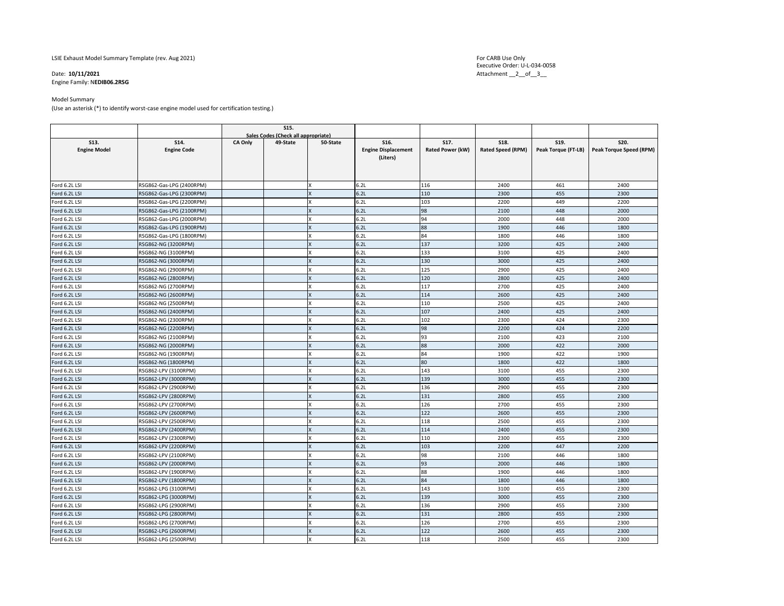LSIE Exhaust Model Summary Template (rev. Aug 2021)

# Date: 10/11/2021

Engine Family: N**EDIB06.2RSG** 

#### Model Summary

(Use an asterisk (\*) to identify worst-case engine model used for certification testing.)

|                     |                          |                                     | S15.     |              |                            |                  |                          |                     |                                |
|---------------------|--------------------------|-------------------------------------|----------|--------------|----------------------------|------------------|--------------------------|---------------------|--------------------------------|
|                     |                          | Sales Codes (Check all appropriate) |          |              |                            |                  |                          |                     |                                |
| S13.                | S14.                     | CA Only                             | 49-State | 50-State     | S16.                       | S17.             | S18.                     | S19.                | S20.                           |
| <b>Engine Model</b> | <b>Engine Code</b>       |                                     |          |              | <b>Engine Displacement</b> | Rated Power (kW) | <b>Rated Speed (RPM)</b> | Peak Torque (FT-LB) | <b>Peak Torque Speed (RPM)</b> |
|                     |                          |                                     |          |              | (Liters)                   |                  |                          |                     |                                |
|                     |                          |                                     |          |              |                            |                  |                          |                     |                                |
|                     |                          |                                     |          |              |                            |                  |                          |                     |                                |
| Ford 6.2L LSI       | RSG862-Gas-LPG (2400RPM) |                                     |          | x            | 6.2L                       | 116              | 2400                     | 461                 | 2400                           |
| Ford 6.2L LSI       | RSG862-Gas-LPG (2300RPM) |                                     |          | X            | 6.2L                       | 110              | 2300                     | 455                 | 2300                           |
| Ford 6.2L LSI       | RSG862-Gas-LPG (2200RPM) |                                     |          | x            | 6.2L                       | 103              | 2200                     | 449                 | 2200                           |
| Ford 6.2L LSI       | RSG862-Gas-LPG (2100RPM) |                                     |          | X            | 6.2L                       | 98               | 2100                     | 448                 | 2000                           |
| Ford 6.2L LSI       | RSG862-Gas-LPG (2000RPM) |                                     |          | x            | 6.2L                       | 94               | 2000                     | 448                 | 2000                           |
| Ford 6.2L LSI       | RSG862-Gas-LPG (1900RPM) |                                     |          | x            | 6.2L                       | 88               | 1900                     | 446                 | 1800                           |
| Ford 6.2L LSI       | RSG862-Gas-LPG (1800RPM) |                                     |          | x            | 6.2L                       | 84               | 1800                     | 446                 | 1800                           |
| Ford 6.2L LSI       | RSG862-NG (3200RPM)      |                                     |          | X            | 6.2L                       | 137              | 3200                     | 425                 | 2400                           |
| Ford 6.2L LSI       | RSG862-NG (3100RPM)      |                                     |          | x            | 6.2L                       | 133              | 3100                     | 425                 | 2400                           |
| Ford 6.2L LSI       | RSG862-NG (3000RPM)      |                                     |          | x            | 6.2L                       | 130              | 3000                     | 425                 | 2400                           |
| Ford 6.2L LSI       | RSG862-NG (2900RPM)      |                                     |          | x            | 6.2L                       | 125              | 2900                     | 425                 | 2400                           |
| Ford 6.2L LSI       | RSG862-NG (2800RPM)      |                                     |          | X            | 6.2L                       | 120              | 2800                     | 425                 | 2400                           |
| Ford 6.2L LSI       | RSG862-NG (2700RPM)      |                                     |          | x            | 6.2L                       | 117              | 2700                     | 425                 | 2400                           |
| Ford 6.2L LSI       | RSG862-NG (2600RPM)      |                                     |          | X            | 6.2L                       | 114              | 2600                     | 425                 | 2400                           |
| Ford 6.2L LSI       | RSG862-NG (2500RPM)      |                                     |          | X            | 6.2L                       | 110              | 2500                     | 425                 | 2400                           |
| Ford 6.2L LSI       | RSG862-NG (2400RPM)      |                                     |          | $\mathsf{x}$ | 6.2L                       | 107              | 2400                     | 425                 | 2400                           |
| Ford 6.2L LSI       | RSG862-NG (2300RPM)      |                                     |          | x            | 6.2L                       | 102              | 2300                     | 424                 | 2300                           |
| Ford 6.2L LSI       | RSG862-NG (2200RPM)      |                                     |          | X            | 6.2L                       | 98               | 2200                     | 424                 | 2200                           |
| Ford 6.2L LSI       | RSG862-NG (2100RPM)      |                                     |          | X            | 6.2L                       | 93               | 2100                     | 423                 | 2100                           |
| Ford 6.2L LSI       | RSG862-NG (2000RPM)      |                                     |          | $\mathsf{x}$ | 6.2L                       | 88               | 2000                     | 422                 | 2000                           |
| Ford 6.2L LSI       | RSG862-NG (1900RPM)      |                                     |          | x            | 6.2L                       | 84               | 1900                     | 422                 | 1900                           |
| Ford 6.2L LSI       | RSG862-NG (1800RPM)      |                                     |          | X            | 6.2L                       | 80               | 1800                     | 422                 | 1800                           |
| Ford 6.2L LSI       | RSG862-LPV (3100RPM)     |                                     |          | x            | 6.2L                       | 143              | 3100                     | 455                 | 2300                           |
| Ford 6.2L LSI       | RSG862-LPV (3000RPM)     |                                     |          | x            | 6.2L                       | 139              | 3000                     | 455                 | 2300                           |
| Ford 6.2L LSI       | RSG862-LPV (2900RPM)     |                                     |          | x            | 6.2L                       | 136              | 2900                     | 455                 | 2300                           |
| Ford 6.2L LSI       | RSG862-LPV (2800RPM)     |                                     |          | X            | 6.2L                       | 131              | 2800                     | 455                 | 2300                           |
| Ford 6.2L LSI       | RSG862-LPV (2700RPM)     |                                     |          | x            | 6.2L                       | 126              | 2700                     | 455                 | 2300                           |
| Ford 6.2L LSI       | RSG862-LPV (2600RPM)     |                                     |          | X            | 6.2L                       | 122              | 2600                     | 455                 | 2300                           |
| Ford 6.2L LSI       | RSG862-LPV (2500RPM)     |                                     |          | X            | 6.2L                       | 118              | 2500                     | 455                 | 2300                           |
| Ford 6.2L LSI       | RSG862-LPV (2400RPM)     |                                     |          | X            | 6.2L                       | 114              | 2400                     | 455                 | 2300                           |
| Ford 6.2L LSI       | RSG862-LPV (2300RPM)     |                                     |          | x            | 6.2L                       | 110              | 2300                     | 455                 | 2300                           |
| Ford 6.2L LSI       | RSG862-LPV (2200RPM)     |                                     |          | X            | 6.2L                       | 103              | 2200                     | 447                 | 2200                           |
| Ford 6.2L LSI       | RSG862-LPV (2100RPM)     |                                     |          | x            | 6.2L                       | 98               | 2100                     | 446                 | 1800                           |
| Ford 6.2L LSI       | RSG862-LPV (2000RPM)     |                                     |          | $\mathsf{x}$ | 6.2L                       | 93               | 2000                     | 446                 | 1800                           |
| Ford 6.2L LSI       | RSG862-LPV (1900RPM)     |                                     |          | x            | 6.2L                       | 88               | 1900                     | 446                 | 1800                           |
| Ford 6.2L LSI       | RSG862-LPV (1800RPM)     |                                     |          | X            | 6.2L                       | 84               | 1800                     | 446                 | 1800                           |
| Ford 6.2L LSI       | RSG862-LPG (3100RPM)     |                                     |          | X            | 6.2L                       | 143              | 3100                     | 455                 | 2300                           |
| Ford 6.2L LSI       | RSG862-LPG (3000RPM)     |                                     |          | $\mathsf{x}$ | 6.2L                       | 139              | 3000                     | 455                 | 2300                           |
| Ford 6.2L LSI       | RSG862-LPG (2900RPM)     |                                     |          | x            | 6.2L                       | 136              | 2900                     | 455                 | 2300                           |
| Ford 6.2L LSI       | RSG862-LPG (2800RPM)     |                                     |          | X            | 6.2L                       | 131              | 2800                     | 455                 | 2300                           |
| Ford 6.2L LSI       | RSG862-LPG (2700RPM)     |                                     |          | x            | 6.2L                       | 126              | 2700                     | 455                 | 2300                           |
| Ford 6.2L LSI       | RSG862-LPG (2600RPM)     |                                     |          | X            | 6.2L                       | 122              | 2600                     | 455                 | 2300                           |
| Ford 6.2L LSI       | RSG862-LPG (2500RPM)     |                                     |          | x            | 6.2L                       | 118              | 2500                     | 455                 | 2300                           |

Executive Order: U-L-034-0058 Attachment \_\_2\_\_of\_\_3\_\_